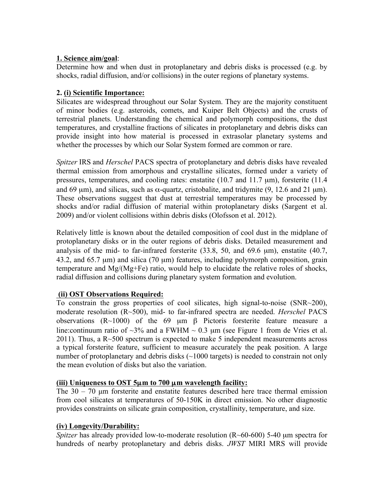## **1. Science aim/goal**:

Determine how and when dust in protoplanetary and debris disks is processed (e.g. by shocks, radial diffusion, and/or collisions) in the outer regions of planetary systems.

## **2. (i) Scientific Importance:**

Silicates are widespread throughout our Solar System. They are the majority constituent of minor bodies (e.g. asteroids, comets, and Kuiper Belt Objects) and the crusts of terrestrial planets. Understanding the chemical and polymorph compositions, the dust temperatures, and crystalline fractions of silicates in protoplanetary and debris disks can provide insight into how material is processed in extrasolar planetary systems and whether the processes by which our Solar System formed are common or rare.

*Spitzer* IRS and *Herschel* PACS spectra of protoplanetary and debris disks have revealed thermal emission from amorphous and crystalline silicates, formed under a variety of pressures, temperatures, and cooling rates: enstatite (10.7 and 11.7 µm), forsterite (11.4 and 69  $\mu$ m), and silicas, such as  $\alpha$ -quartz, cristobalite, and tridymite (9, 12.6 and 21  $\mu$ m). These observations suggest that dust at terrestrial temperatures may be processed by shocks and/or radial diffusion of material within protoplanetary disks (Sargent et al. 2009) and/or violent collisions within debris disks (Olofsson et al. 2012).

Relatively little is known about the detailed composition of cool dust in the midplane of protoplanetary disks or in the outer regions of debris disks. Detailed measurement and analysis of the mid- to far-infrared forsterite (33.8, 50, and 69.6 µm), enstatite (40.7, 43.2, and 65.7  $\mu$ m) and silica (70  $\mu$ m) features, including polymorph composition, grain temperature and Mg/(Mg+Fe) ratio, would help to elucidate the relative roles of shocks, radial diffusion and collisions during planetary system formation and evolution.

# **(ii) OST Observations Required:**

To constrain the gross properties of cool silicates, high signal-to-noise (SNR~200), moderate resolution (R~500), mid- to far-infrared spectra are needed. *Herschel* PACS observations (R~1000) of the 69 µm β Pictoris forsterite feature measure a line: continuum ratio of  $\sim$ 3% and a FWHM  $\sim$  0.3 µm (see Figure 1 from de Vries et al.  $2011$ ). Thus, a R $\sim$ 500 spectrum is expected to make 5 independent measurements across a typical forsterite feature, sufficient to measure accurately the peak position. A large number of protoplanetary and debris disks (~1000 targets) is needed to constrain not only the mean evolution of disks but also the variation.

### **(iii) Uniqueness to OST 5**µ**m to 700** µ**m wavelength facility:**

The  $30 - 70$  µm forsterite and enstatite features described here trace thermal emission from cool silicates at temperatures of 50-150K in direct emission. No other diagnostic provides constraints on silicate grain composition, crystallinity, temperature, and size.

### **(iv) Longevity/Durability:**

*Spitzer* has already provided low-to-moderate resolution (R~60-600) 5-40 µm spectra for hundreds of nearby protoplanetary and debris disks. *JWST* MIRI MRS will provide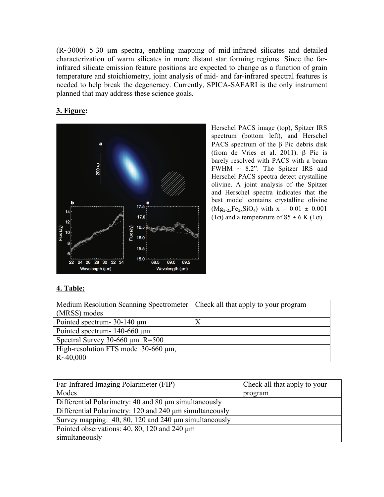$(R~3000)$  5-30  $\mu$ m spectra, enabling mapping of mid-infrared silicates and detailed characterization of warm silicates in more distant star forming regions. Since the farinfrared silicate emission feature positions are expected to change as a function of grain temperature and stoichiometry, joint analysis of mid- and far-infrared spectral features is needed to help break the degeneracy. Currently, SPICA-SAFARI is the only instrument planned that may address these science goals.

## **3. Figure:**



Herschel PACS image (top), Spitzer IRS spectrum (bottom left), and Herschel PACS spectrum of the β Pic debris disk (from de Vries et al. 2011). β Pic is barely resolved with PACS with a beam FWHM  $\sim$  8.2". The Spitzer IRS and Herschel PACS spectra detect crystalline olivine. A joint analysis of the Spitzer and Herschel spectra indicates that the best model contains crystalline olivine  $(Mg_{2-2x}Fe_{2x}SiO_4)$  with  $x = 0.01 \pm 0.001$ (1 $\sigma$ ) and a temperature of 85  $\pm$  6 K (1 $\sigma$ ).

# **4. Table:**

| Medium Resolution Scanning Spectrometer   Check all that apply to your program |  |
|--------------------------------------------------------------------------------|--|
| (MRSS) modes                                                                   |  |
| Pointed spectrum-30-140 µm                                                     |  |
| Pointed spectrum-140-660 µm                                                    |  |
| Spectral Survey 30-660 $\mu$ m R=500                                           |  |
| High-resolution FTS mode 30-660 µm,                                            |  |
| $R \sim 40,000$                                                                |  |

| Far-Infrared Imaging Polarimeter (FIP)                  | Check all that apply to your |
|---------------------------------------------------------|------------------------------|
| Modes                                                   | program                      |
| Differential Polarimetry: 40 and 80 µm simultaneously   |                              |
| Differential Polarimetry: 120 and 240 µm simultaneously |                              |
| Survey mapping: 40, 80, 120 and 240 µm simultaneously   |                              |
| Pointed observations: $40, 80, 120$ and $240 \mu m$     |                              |
| simultaneously                                          |                              |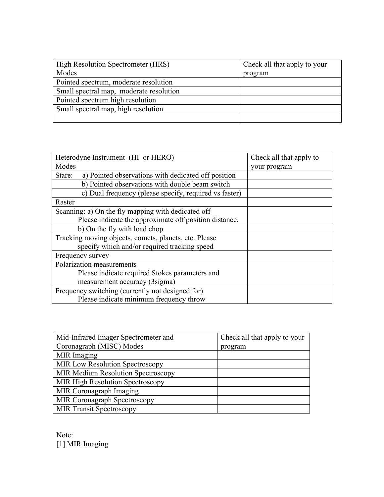| High Resolution Spectrometer (HRS)      | Check all that apply to your |
|-----------------------------------------|------------------------------|
| Modes                                   | program                      |
| Pointed spectrum, moderate resolution   |                              |
| Small spectral map, moderate resolution |                              |
| Pointed spectrum high resolution        |                              |
| Small spectral map, high resolution     |                              |
|                                         |                              |

| Heterodyne Instrument (HI or HERO)                            | Check all that apply to |
|---------------------------------------------------------------|-------------------------|
| Modes                                                         | your program            |
| a) Pointed observations with dedicated off position<br>Stare: |                         |
| b) Pointed observations with double beam switch               |                         |
| c) Dual frequency (please specify, required vs faster)        |                         |
| Raster                                                        |                         |
| Scanning: a) On the fly mapping with dedicated off            |                         |
| Please indicate the approximate off position distance.        |                         |
| b) On the fly with load chop                                  |                         |
| Tracking moving objects, comets, planets, etc. Please         |                         |
| specify which and/or required tracking speed                  |                         |
| Frequency survey                                              |                         |
| Polarization measurements                                     |                         |
| Please indicate required Stokes parameters and                |                         |
| measurement accuracy (3sigma)                                 |                         |
| Frequency switching (currently not designed for)              |                         |
| Please indicate minimum frequency throw                       |                         |

| Mid-Infrared Imager Spectrometer and      | Check all that apply to your |
|-------------------------------------------|------------------------------|
| Coronagraph (MISC) Modes                  | program                      |
| MIR Imaging                               |                              |
| <b>MIR Low Resolution Spectroscopy</b>    |                              |
| <b>MIR Medium Resolution Spectroscopy</b> |                              |
| <b>MIR High Resolution Spectroscopy</b>   |                              |
| MIR Coronagraph Imaging                   |                              |
| MIR Coronagraph Spectroscopy              |                              |
| <b>MIR Transit Spectroscopy</b>           |                              |

Note: [1] MIR Imaging